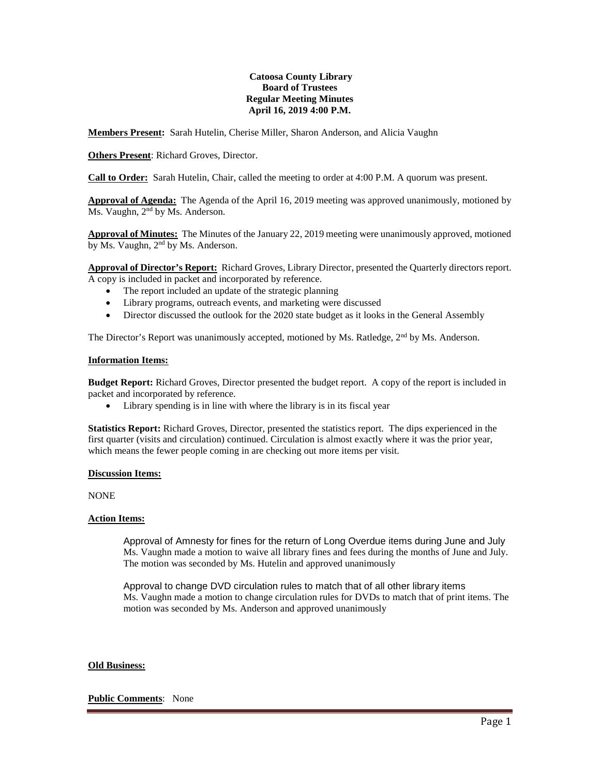## **Catoosa County Library Board of Trustees Regular Meeting Minutes April 16, 2019 4:00 P.M.**

**Members Present:** Sarah Hutelin, Cherise Miller, Sharon Anderson, and Alicia Vaughn

**Others Present**: Richard Groves, Director.

**Call to Order:** Sarah Hutelin, Chair, called the meeting to order at 4:00 P.M. A quorum was present.

**Approval of Agenda:** The Agenda of the April 16, 2019 meeting was approved unanimously, motioned by Ms. Vaughn, 2<sup>nd</sup> by Ms. Anderson.

**Approval of Minutes:** The Minutes of the January 22, 2019 meeting were unanimously approved, motioned by Ms. Vaughn, 2<sup>nd</sup> by Ms. Anderson.

**Approval of Director's Report:** Richard Groves, Library Director, presented the Quarterly directors report. A copy is included in packet and incorporated by reference.

- The report included an update of the strategic planning
- Library programs, outreach events, and marketing were discussed
- Director discussed the outlook for the 2020 state budget as it looks in the General Assembly

The Director's Report was unanimously accepted, motioned by Ms. Ratledge, 2<sup>nd</sup> by Ms. Anderson.

### **Information Items:**

**Budget Report:** Richard Groves, Director presented the budget report. A copy of the report is included in packet and incorporated by reference.

• Library spending is in line with where the library is in its fiscal year

**Statistics Report:** Richard Groves, Director, presented the statistics report. The dips experienced in the first quarter (visits and circulation) continued. Circulation is almost exactly where it was the prior year, which means the fewer people coming in are checking out more items per visit.

### **Discussion Items:**

NONE

### **Action Items:**

Approval of Amnesty for fines for the return of Long Overdue items during June and July Ms. Vaughn made a motion to waive all library fines and fees during the months of June and July. The motion was seconded by Ms. Hutelin and approved unanimously

Approval to change DVD circulation rules to match that of all other library items Ms. Vaughn made a motion to change circulation rules for DVDs to match that of print items. The motion was seconded by Ms. Anderson and approved unanimously

### **Old Business:**

### **Public Comments**: None